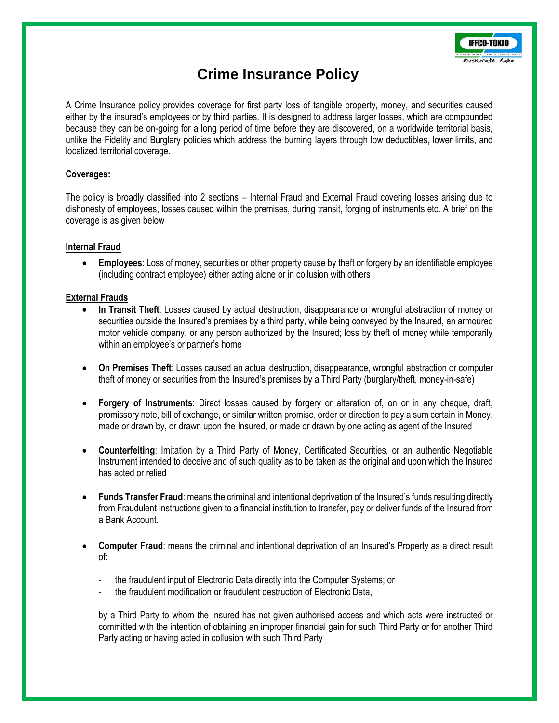

# **Crime Insurance Policy**

A Crime Insurance policy provides coverage for first party loss of tangible property, money, and securities caused either by the insured's employees or by third parties. It is designed to address larger losses, which are compounded because they can be on-going for a long period of time before they are discovered, on a worldwide territorial basis, unlike the Fidelity and Burglary policies which address the burning layers through low deductibles, lower limits, and localized territorial coverage.

## **Coverages:**

The policy is broadly classified into 2 sections – Internal Fraud and External Fraud covering losses arising due to dishonesty of employees, losses caused within the premises, during transit, forging of instruments etc. A brief on the coverage is as given below

#### **Internal Fraud**

 **Employees**: Loss of money, securities or other property cause by theft or forgery by an identifiable employee (including contract employee) either acting alone or in collusion with others

## **External Frauds**

- **In Transit Theft**: Losses caused by actual destruction, disappearance or wrongful abstraction of money or securities outside the Insured's premises by a third party, while being conveyed by the Insured, an armoured motor vehicle company, or any person authorized by the Insured; loss by theft of money while temporarily within an employee's or partner's home
- **On Premises Theft**: Losses caused an actual destruction, disappearance, wrongful abstraction or computer theft of money or securities from the Insured's premises by a Third Party (burglary/theft, money-in-safe)
- **Forgery of Instruments**: Direct losses caused by forgery or alteration of, on or in any cheque, draft, promissory note, bill of exchange, or similar written promise, order or direction to pay a sum certain in Money, made or drawn by, or drawn upon the Insured, or made or drawn by one acting as agent of the Insured
- **Counterfeiting**: Imitation by a Third Party of Money, Certificated Securities, or an authentic Negotiable Instrument intended to deceive and of such quality as to be taken as the original and upon which the Insured has acted or relied
- **Funds Transfer Fraud**: means the criminal and intentional deprivation of the Insured's funds resulting directly from Fraudulent Instructions given to a financial institution to transfer, pay or deliver funds of the Insured from a Bank Account.
- **Computer Fraud**: means the criminal and intentional deprivation of an Insured's Property as a direct result of:
	- the fraudulent input of Electronic Data directly into the Computer Systems; or
	- the fraudulent modification or fraudulent destruction of Electronic Data,

by a Third Party to whom the Insured has not given authorised access and which acts were instructed or committed with the intention of obtaining an improper financial gain for such Third Party or for another Third Party acting or having acted in collusion with such Third Party